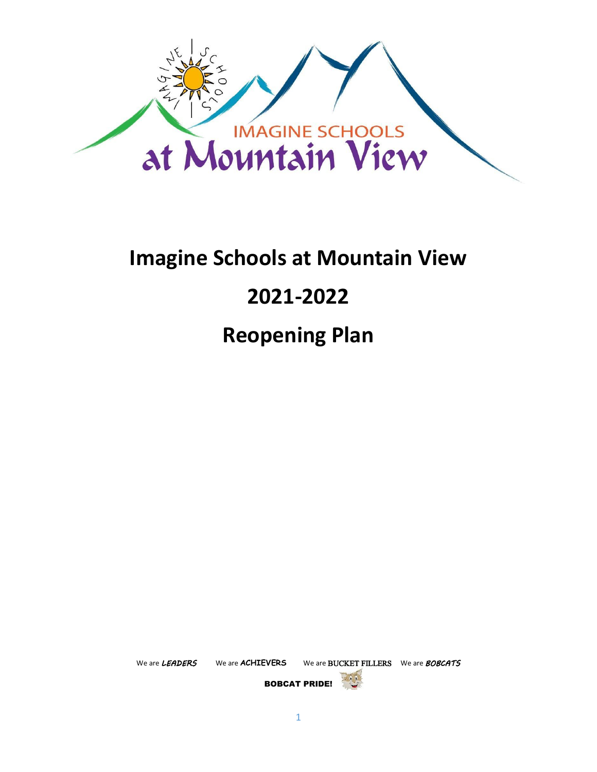

# **Imagine Schools at Mountain View**

# **2021-2022**

**Reopening Plan**

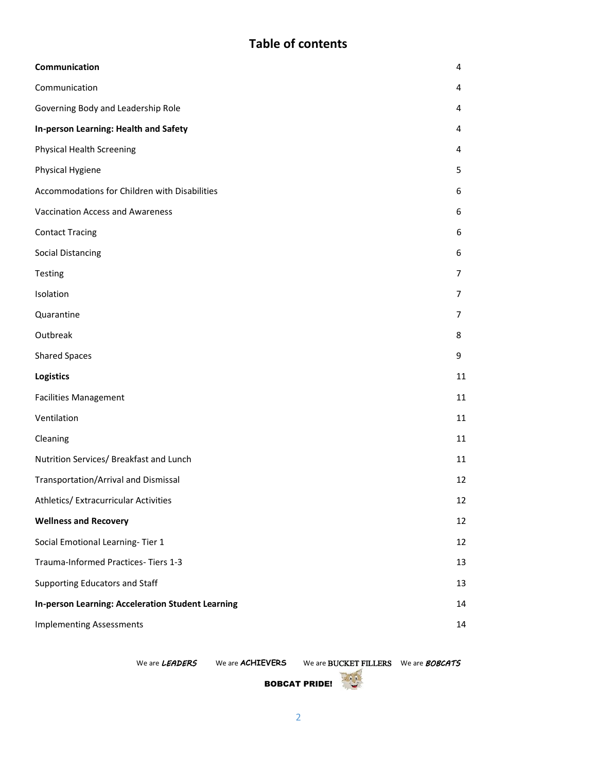# **Table of contents**

| Communication                                            | 4              |
|----------------------------------------------------------|----------------|
| Communication                                            |                |
| Governing Body and Leadership Role                       |                |
| In-person Learning: Health and Safety                    |                |
| <b>Physical Health Screening</b>                         |                |
| Physical Hygiene                                         |                |
| Accommodations for Children with Disabilities            |                |
| <b>Vaccination Access and Awareness</b>                  |                |
| <b>Contact Tracing</b>                                   | 6              |
| <b>Social Distancing</b>                                 |                |
| Testing                                                  | $\overline{7}$ |
| Isolation                                                | $\overline{7}$ |
| Quarantine                                               | 7              |
| Outbreak                                                 | 8              |
| <b>Shared Spaces</b>                                     | 9              |
| <b>Logistics</b>                                         | 11             |
| <b>Facilities Management</b>                             | 11             |
| Ventilation                                              | 11             |
| Cleaning                                                 | 11             |
| Nutrition Services/ Breakfast and Lunch                  | 11             |
| Transportation/Arrival and Dismissal                     | 12             |
| Athletics/ Extracurricular Activities                    | 12             |
| <b>Wellness and Recovery</b>                             | 12             |
| Social Emotional Learning-Tier 1                         | 12             |
| Trauma-Informed Practices-Tiers 1-3                      | 13             |
| Supporting Educators and Staff                           | 13             |
| <b>In-person Learning: Acceleration Student Learning</b> | 14             |
| <b>Implementing Assessments</b>                          | 14             |
|                                                          |                |

We are *LEADERS* We are **ACHIEVERS** We are BUCKET FILLERS We are *BOBCATS* 

BOBCAT PRIDE!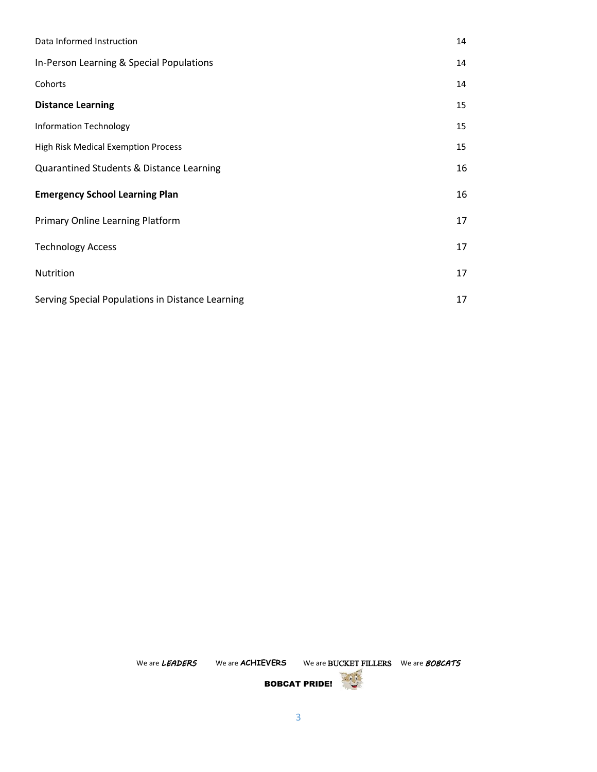| Data Informed Instruction                        | 14 |
|--------------------------------------------------|----|
| In-Person Learning & Special Populations         |    |
| Cohorts                                          | 14 |
| <b>Distance Learning</b>                         | 15 |
| Information Technology                           | 15 |
| <b>High Risk Medical Exemption Process</b>       | 15 |
| Quarantined Students & Distance Learning         |    |
| <b>Emergency School Learning Plan</b>            | 16 |
| Primary Online Learning Platform                 | 17 |
| <b>Technology Access</b>                         | 17 |
| Nutrition                                        |    |
| Serving Special Populations in Distance Learning |    |

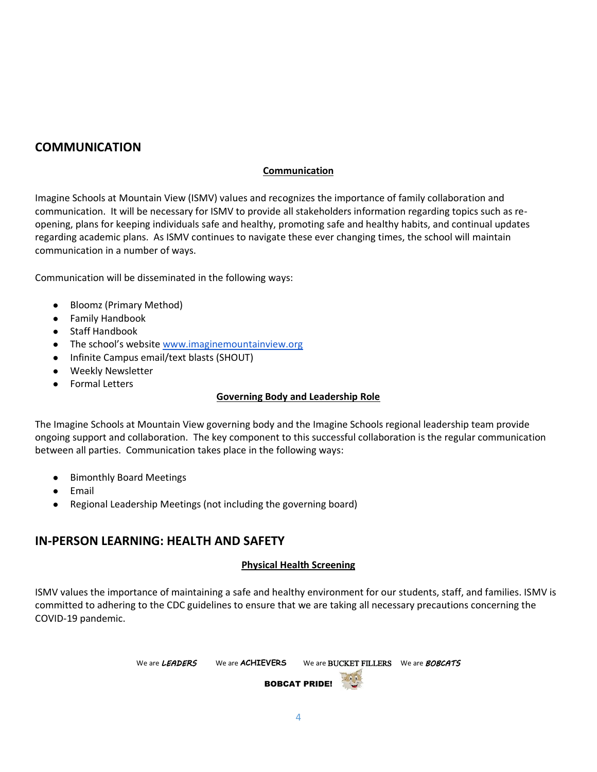# **COMMUNICATION**

#### **Communication**

Imagine Schools at Mountain View (ISMV) values and recognizes the importance of family collaboration and communication. It will be necessary for ISMV to provide all stakeholders information regarding topics such as reopening, plans for keeping individuals safe and healthy, promoting safe and healthy habits, and continual updates regarding academic plans. As ISMV continues to navigate these ever changing times, the school will maintain communication in a number of ways.

Communication will be disseminated in the following ways:

- Bloomz (Primary Method)
- Family Handbook
- **Staff Handbook**
- The school's website [www.imaginemountainview.org](http://www.imaginemountainview.org/)
- Infinite Campus email/text blasts (SHOUT)
- **Weekly Newsletter**
- **Formal Letters**

#### **Governing Body and Leadership Role**

The Imagine Schools at Mountain View governing body and the Imagine Schools regional leadership team provide ongoing support and collaboration. The key component to this successful collaboration is the regular communication between all parties. Communication takes place in the following ways:

- Bimonthly Board Meetings
- Email
- Regional Leadership Meetings (not including the governing board)

## **IN-PERSON LEARNING: HEALTH AND SAFETY**

#### **Physical Health Screening**

ISMV values the importance of maintaining a safe and healthy environment for our students, staff, and families. ISMV is committed to adhering to the CDC guidelines to ensure that we are taking all necessary precautions concerning the COVID-19 pandemic.

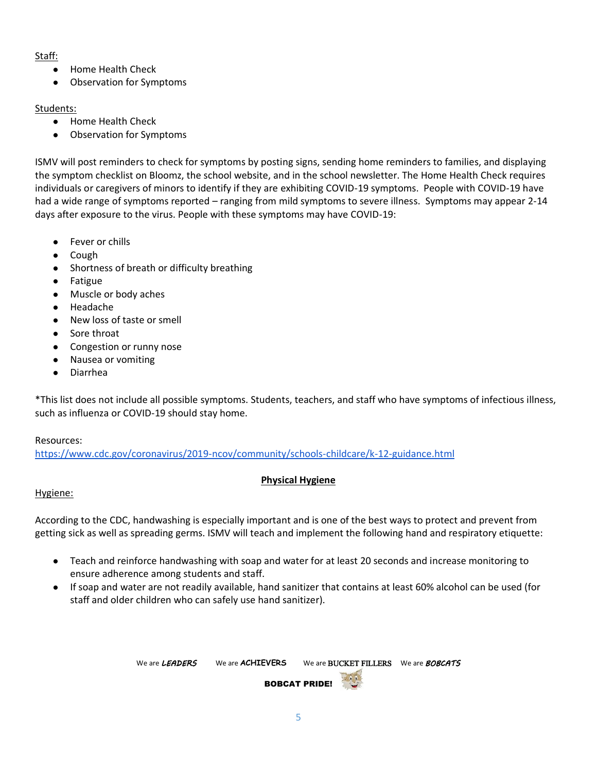## Staff:

- Home Health Check
- Observation for Symptoms

## Students:

- Home Health Check
- Observation for Symptoms

ISMV will post reminders to check for symptoms by posting signs, sending home reminders to families, and displaying the symptom checklist on Bloomz, the school website, and in the school newsletter. The Home Health Check requires individuals or caregivers of minors to identify if they are exhibiting COVID-19 symptoms. People with COVID-19 have had a wide range of symptoms reported – ranging from mild symptoms to severe illness. Symptoms may appear 2-14 days after exposure to the virus. People with these symptoms may have COVID-19:

- Fever or chills
- Cough
- Shortness of breath or difficulty breathing
- **Fatigue**
- Muscle or body aches
- Headache
- New loss of taste or smell
- Sore throat
- Congestion or runny nose
- Nausea or vomiting
- **Diarrhea**

\*This list does not include all possible symptoms. Students, teachers, and staff who have symptoms of infectious illness, such as influenza or COVID-19 should stay home.

## Resources:

<https://www.cdc.gov/coronavirus/2019-ncov/community/schools-childcare/k-12-guidance.html>

## **Physical Hygiene**

## Hygiene:

According to the CDC, handwashing is especially important and is one of the best ways to protect and prevent from getting sick as well as spreading germs. ISMV will teach and implement the following hand and respiratory etiquette:

- Teach and reinforce handwashing with soap and water for at least 20 seconds and increase monitoring to ensure adherence among students and staff.
- If soap and water are not readily available, hand sanitizer that contains at least 60% alcohol can be used (for staff and older children who can safely use hand sanitizer).

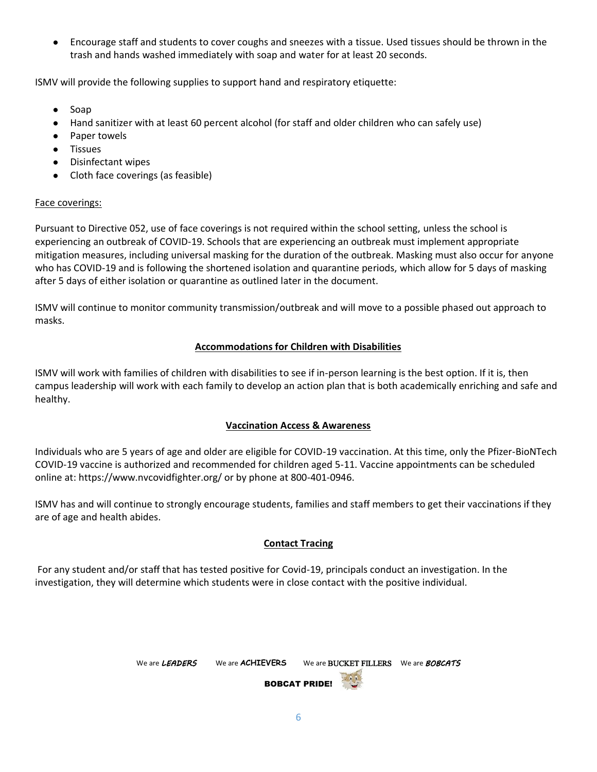● Encourage staff and students to cover coughs and sneezes with a tissue. Used tissues should be thrown in the trash and hands washed immediately with soap and water for at least 20 seconds.

ISMV will provide the following supplies to support hand and respiratory etiquette:

- Soap
- Hand sanitizer with at least 60 percent alcohol (for staff and older children who can safely use)
- Paper towels
- Tissues
- Disinfectant wipes
- Cloth face coverings (as feasible)

#### Face coverings:

Pursuant to Directive 052, use of face coverings is not required within the school setting, unless the school is experiencing an outbreak of COVID-19. Schools that are experiencing an outbreak must implement appropriate mitigation measures, including universal masking for the duration of the outbreak. Masking must also occur for anyone who has COVID-19 and is following the shortened isolation and quarantine periods, which allow for 5 days of masking after 5 days of either isolation or quarantine as outlined later in the document.

ISMV will continue to monitor community transmission/outbreak and will move to a possible phased out approach to masks.

#### **Accommodations for Children with Disabilities**

ISMV will work with families of children with disabilities to see if in-person learning is the best option. If it is, then campus leadership will work with each family to develop an action plan that is both academically enriching and safe and healthy.

#### **Vaccination Access & Awareness**

Individuals who are 5 years of age and older are eligible for COVID-19 vaccination. At this time, only the Pfizer-BioNTech COVID-19 vaccine is authorized and recommended for children aged 5-11. Vaccine appointments can be scheduled online at: https://www.nvcovidfighter.org/ or by phone at 800-401-0946.

ISMV has and will continue to strongly encourage students, families and staff members to get their vaccinations if they are of age and health abides.

#### **Contact Tracing**

For any student and/or staff that has tested positive for Covid-19, principals conduct an investigation. In the investigation, they will determine which students were in close contact with the positive individual.

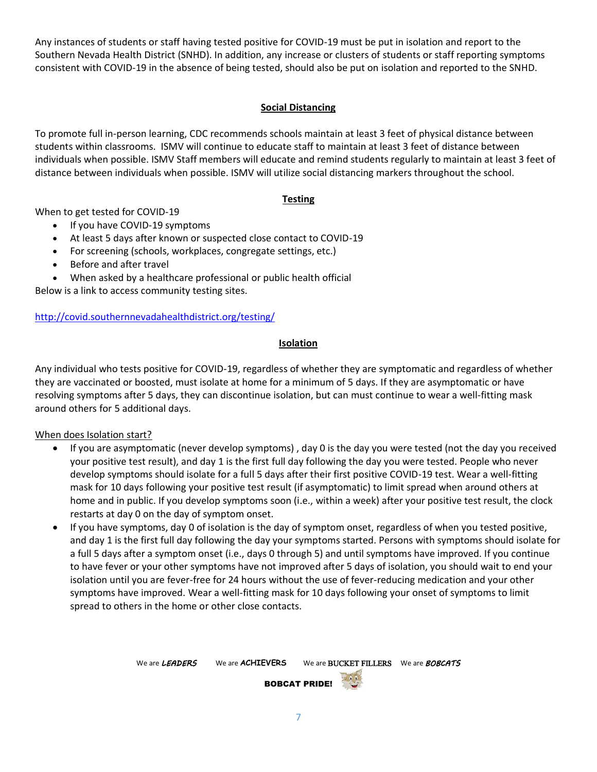Any instances of students or staff having tested positive for COVID-19 must be put in isolation and report to the Southern Nevada Health District (SNHD). In addition, any increase or clusters of students or staff reporting symptoms consistent with COVID-19 in the absence of being tested, should also be put on isolation and reported to the SNHD.

## **Social Distancing**

To promote full in-person learning, CDC recommends schools maintain at least 3 feet of physical distance between students within classrooms. ISMV will continue to educate staff to maintain at least 3 feet of distance between individuals when possible. ISMV Staff members will educate and remind students regularly to maintain at least 3 feet of distance between individuals when possible. ISMV will utilize social distancing markers throughout the school.

## **Testing**

When to get tested for COVID-19

- If you have COVID-19 symptoms
- At least 5 days after known or suspected close contact to COVID-19
- For screening (schools, workplaces, congregate settings, etc.)
- Before and after travel
- When asked by a healthcare professional or public health official

Below is a link to access community testing sites.

## <http://covid.southernnevadahealthdistrict.org/testing/>

#### **Isolation**

Any individual who tests positive for COVID-19, regardless of whether they are symptomatic and regardless of whether they are vaccinated or boosted, must isolate at home for a minimum of 5 days. If they are asymptomatic or have resolving symptoms after 5 days, they can discontinue isolation, but can must continue to wear a well-fitting mask around others for 5 additional days.

## When does Isolation start?

- If you are asymptomatic (never develop symptoms) , day 0 is the day you were tested (not the day you received your positive test result), and day 1 is the first full day following the day you were tested. People who never develop symptoms should isolate for a full 5 days after their first positive COVID-19 test. Wear a well-fitting mask for 10 days following your positive test result (if asymptomatic) to limit spread when around others at home and in public. If you develop symptoms soon (i.e., within a week) after your positive test result, the clock restarts at day 0 on the day of symptom onset.
- If you have symptoms, day 0 of isolation is the day of symptom onset, regardless of when you tested positive, and day 1 is the first full day following the day your symptoms started. Persons with symptoms should isolate for a full 5 days after a symptom onset (i.e., days 0 through 5) and until symptoms have improved. If you continue to have fever or your other symptoms have not improved after 5 days of isolation, you should wait to end your isolation until you are fever-free for 24 hours without the use of fever-reducing medication and your other symptoms have improved. Wear a well-fitting mask for 10 days following your onset of symptoms to limit spread to others in the home or other close contacts.

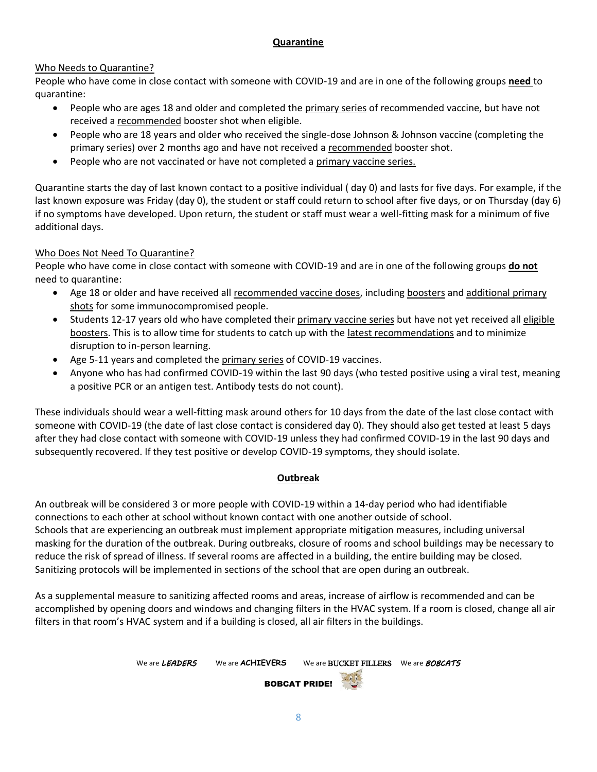## **Quarantine**

## Who Needs to Quarantine?

People who have come in close contact with someone with COVID-19 and are in one of the following groups **need** to quarantine:

- People who are ages 18 and older and completed the primary series of recommended vaccine, but have not received a recommended booster shot when eligible.
- People who are 18 years and older who received the single-dose Johnson & Johnson vaccine (completing the primary series) over 2 months ago and have not received a recommended booster shot.
- People who are not vaccinated or have not completed a primary vaccine series.

Quarantine starts the day of last known contact to a positive individual ( day 0) and lasts for five days. For example, if the last known exposure was Friday (day 0), the student or staff could return to school after five days, or on Thursday (day 6) if no symptoms have developed. Upon return, the student or staff must wear a well-fitting mask for a minimum of five additional days.

## Who Does Not Need To Quarantine?

People who have come in close contact with someone with COVID-19 and are in one of the following groups **do not** need to quarantine:

- Age 18 or older and have received all recommended vaccine doses, including boosters and additional primary shots for some immunocompromised people.
- Students 12-17 years old who have completed their primary vaccine series but have not yet received all eligible boosters. This is to allow time for students to catch up with the latest recommendations and to minimize disruption to in-person learning.
- Age 5-11 years and completed the primary series of COVID-19 vaccines.
- Anyone who has had confirmed COVID-19 within the last 90 days (who tested positive using a viral test, meaning a positive PCR or an antigen test. Antibody tests do not count).

These individuals should wear a well-fitting mask around others for 10 days from the date of the last close contact with someone with COVID-19 (the date of last close contact is considered day 0). They should also get tested at least 5 days after they had close contact with someone with COVID-19 unless they had confirmed COVID-19 in the last 90 days and subsequently recovered. If they test positive or develop COVID-19 symptoms, they should isolate.

#### **Outbreak**

An outbreak will be considered 3 or more people with COVID-19 within a 14-day period who had identifiable connections to each other at school without known contact with one another outside of school. Schools that are experiencing an outbreak must implement appropriate mitigation measures, including universal masking for the duration of the outbreak. During outbreaks, closure of rooms and school buildings may be necessary to reduce the risk of spread of illness. If several rooms are affected in a building, the entire building may be closed. Sanitizing protocols will be implemented in sections of the school that are open during an outbreak.

As a supplemental measure to sanitizing affected rooms and areas, increase of airflow is recommended and can be accomplished by opening doors and windows and changing filters in the HVAC system. If a room is closed, change all air filters in that room's HVAC system and if a building is closed, all air filters in the buildings.

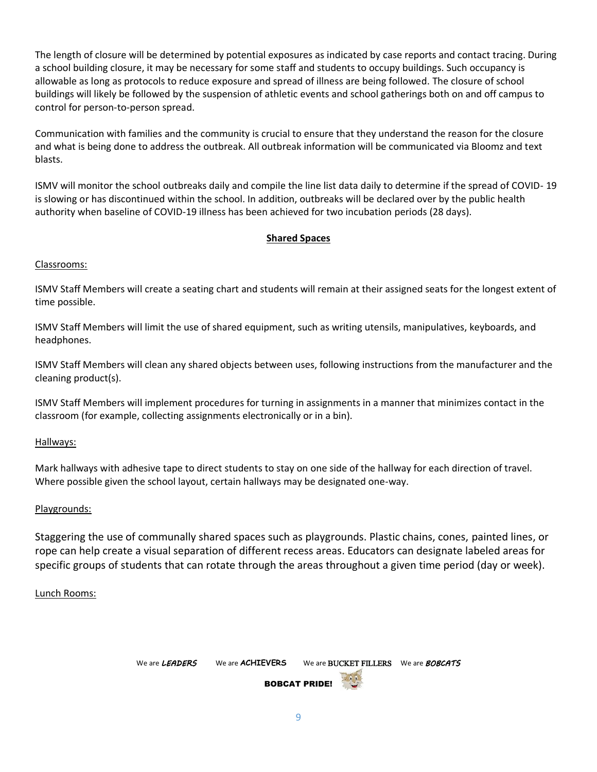The length of closure will be determined by potential exposures as indicated by case reports and contact tracing. During a school building closure, it may be necessary for some staff and students to occupy buildings. Such occupancy is allowable as long as protocols to reduce exposure and spread of illness are being followed. The closure of school buildings will likely be followed by the suspension of athletic events and school gatherings both on and off campus to control for person-to-person spread.

Communication with families and the community is crucial to ensure that they understand the reason for the closure and what is being done to address the outbreak. All outbreak information will be communicated via Bloomz and text blasts.

ISMV will monitor the school outbreaks daily and compile the line list data daily to determine if the spread of COVID- 19 is slowing or has discontinued within the school. In addition, outbreaks will be declared over by the public health authority when baseline of COVID-19 illness has been achieved for two incubation periods (28 days).

#### **Shared Spaces**

#### Classrooms:

ISMV Staff Members will create a seating chart and students will remain at their assigned seats for the longest extent of time possible.

ISMV Staff Members will limit the use of shared equipment, such as writing utensils, manipulatives, keyboards, and headphones.

ISMV Staff Members will clean any shared objects between uses, following instructions from the manufacturer and the cleaning product(s).

ISMV Staff Members will implement procedures for turning in assignments in a manner that minimizes contact in the classroom (for example, collecting assignments electronically or in a bin).

Hallways:

Mark hallways with adhesive tape to direct students to stay on one side of the hallway for each direction of travel. Where possible given the school layout, certain hallways may be designated one-way.

#### Playgrounds:

Staggering the use of communally shared spaces such as playgrounds. Plastic chains, cones, painted lines, or rope can help create a visual separation of different recess areas. Educators can designate labeled areas for specific groups of students that can rotate through the areas throughout a given time period (day or week).

#### Lunch Rooms:

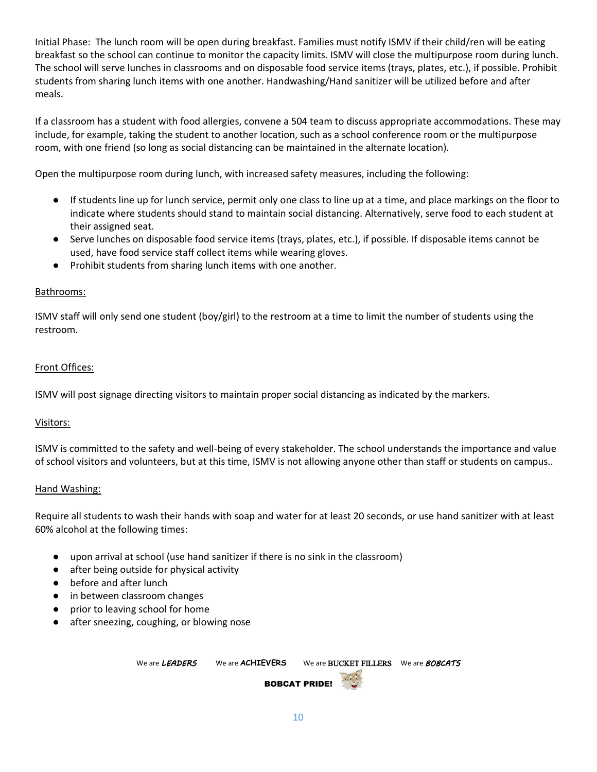Initial Phase: The lunch room will be open during breakfast. Families must notify ISMV if their child/ren will be eating breakfast so the school can continue to monitor the capacity limits. ISMV will close the multipurpose room during lunch. The school will serve lunches in classrooms and on disposable food service items (trays, plates, etc.), if possible. Prohibit students from sharing lunch items with one another. Handwashing/Hand sanitizer will be utilized before and after meals.

If a classroom has a student with food allergies, convene a 504 team to discuss appropriate accommodations. These may include, for example, taking the student to another location, such as a school conference room or the multipurpose room, with one friend (so long as social distancing can be maintained in the alternate location).

Open the multipurpose room during lunch, with increased safety measures, including the following:

- If students line up for lunch service, permit only one class to line up at a time, and place markings on the floor to indicate where students should stand to maintain social distancing. Alternatively, serve food to each student at their assigned seat.
- Serve lunches on disposable food service items (trays, plates, etc.), if possible. If disposable items cannot be used, have food service staff collect items while wearing gloves.
- Prohibit students from sharing lunch items with one another.

## Bathrooms:

ISMV staff will only send one student (boy/girl) to the restroom at a time to limit the number of students using the restroom.

#### Front Offices:

ISMV will post signage directing visitors to maintain proper social distancing as indicated by the markers.

#### Visitors:

ISMV is committed to the safety and well-being of every stakeholder. The school understands the importance and value of school visitors and volunteers, but at this time, ISMV is not allowing anyone other than staff or students on campus..

#### Hand Washing:

Require all students to wash their hands with soap and water for at least 20 seconds, or use hand sanitizer with at least 60% alcohol at the following times:

- upon arrival at school (use hand sanitizer if there is no sink in the classroom)
- after being outside for physical activity
- before and after lunch
- in between classroom changes
- prior to leaving school for home
- after sneezing, coughing, or blowing nose

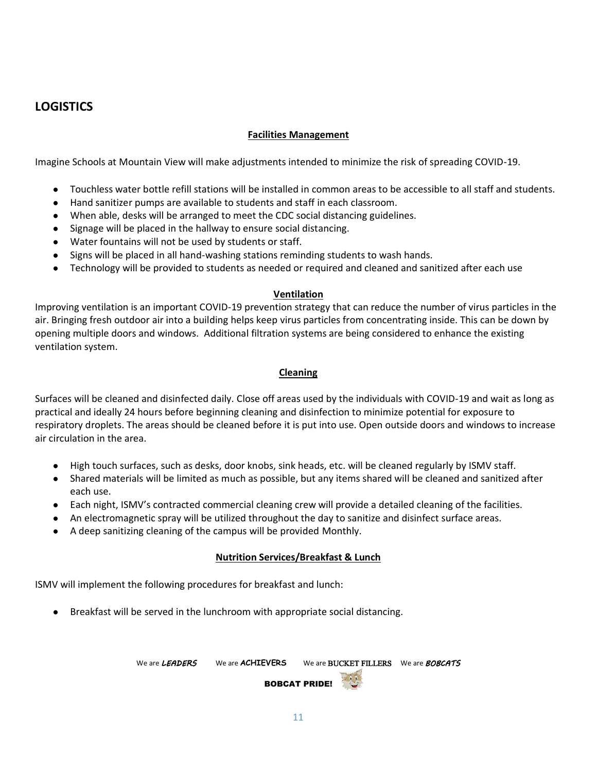# **LOGISTICS**

## **Facilities Management**

Imagine Schools at Mountain View will make adjustments intended to minimize the risk of spreading COVID-19.

- Touchless water bottle refill stations will be installed in common areas to be accessible to all staff and students.
- Hand sanitizer pumps are available to students and staff in each classroom.
- When able, desks will be arranged to meet the CDC social distancing guidelines.
- Signage will be placed in the hallway to ensure social distancing.
- Water fountains will not be used by students or staff.
- Signs will be placed in all hand-washing stations reminding students to wash hands.
- Technology will be provided to students as needed or required and cleaned and sanitized after each use

#### **Ventilation**

Improving ventilation is an important COVID-19 prevention strategy that can reduce the number of virus particles in the air. Bringing fresh outdoor air into a building helps keep virus particles from concentrating inside. This can be down by opening multiple doors and windows. Additional filtration systems are being considered to enhance the existing ventilation system.

#### **Cleaning**

Surfaces will be cleaned and disinfected daily. Close off areas used by the individuals with COVID-19 and wait as long as practical and ideally 24 hours before beginning cleaning and disinfection to minimize potential for exposure to respiratory droplets. The areas should be cleaned before it is put into use. Open outside doors and windows to increase air circulation in the area.

- High touch surfaces, such as desks, door knobs, sink heads, etc. will be cleaned regularly by ISMV staff.
- Shared materials will be limited as much as possible, but any items shared will be cleaned and sanitized after each use.
- Each night, ISMV's contracted commercial cleaning crew will provide a detailed cleaning of the facilities.
- An electromagnetic spray will be utilized throughout the day to sanitize and disinfect surface areas.
- A deep sanitizing cleaning of the campus will be provided Monthly.

#### **Nutrition Services/Breakfast & Lunch**

ISMV will implement the following procedures for breakfast and lunch:

Breakfast will be served in the lunchroom with appropriate social distancing.

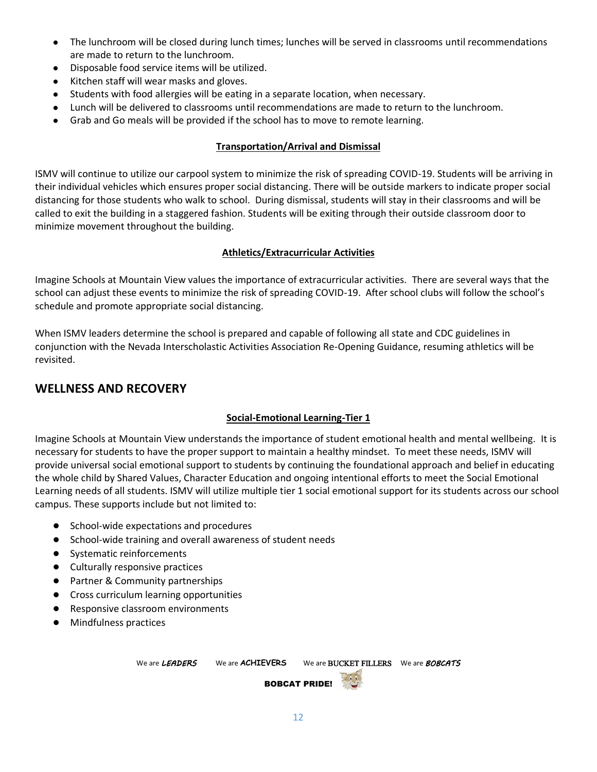- The lunchroom will be closed during lunch times; lunches will be served in classrooms until recommendations are made to return to the lunchroom.
- Disposable food service items will be utilized.
- Kitchen staff will wear masks and gloves.
- Students with food allergies will be eating in a separate location, when necessary.
- Lunch will be delivered to classrooms until recommendations are made to return to the lunchroom.
- Grab and Go meals will be provided if the school has to move to remote learning.

#### **Transportation/Arrival and Dismissal**

ISMV will continue to utilize our carpool system to minimize the risk of spreading COVID-19. Students will be arriving in their individual vehicles which ensures proper social distancing. There will be outside markers to indicate proper social distancing for those students who walk to school. During dismissal, students will stay in their classrooms and will be called to exit the building in a staggered fashion. Students will be exiting through their outside classroom door to minimize movement throughout the building.

#### **Athletics/Extracurricular Activities**

Imagine Schools at Mountain View values the importance of extracurricular activities. There are several ways that the school can adjust these events to minimize the risk of spreading COVID-19. After school clubs will follow the school's schedule and promote appropriate social distancing.

When ISMV leaders determine the school is prepared and capable of following all state and CDC guidelines in conjunction with the Nevada Interscholastic Activities Association Re-Opening Guidance, resuming athletics will be revisited.

## **WELLNESS AND RECOVERY**

## **Social-Emotional Learning-Tier 1**

Imagine Schools at Mountain View understands the importance of student emotional health and mental wellbeing. It is necessary for students to have the proper support to maintain a healthy mindset. To meet these needs, ISMV will provide universal social emotional support to students by continuing the foundational approach and belief in educating the whole child by Shared Values, Character Education and ongoing intentional efforts to meet the Social Emotional Learning needs of all students. ISMV will utilize multiple tier 1 social emotional support for its students across our school campus. These supports include but not limited to:

- School-wide expectations and procedures
- School-wide training and overall awareness of student needs
- Systematic reinforcements
- Culturally responsive practices
- Partner & Community partnerships
- Cross curriculum learning opportunities
- Responsive classroom environments
- Mindfulness practices

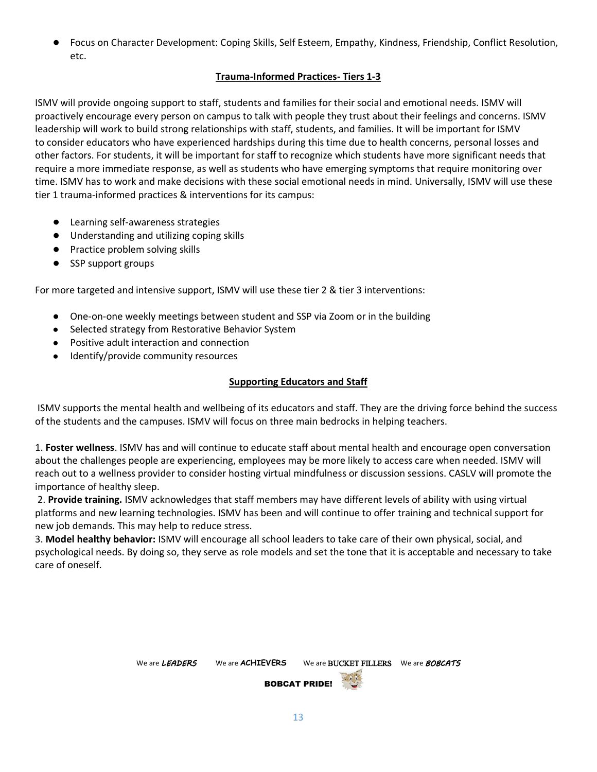Focus on Character Development: Coping Skills, Self Esteem, Empathy, Kindness, Friendship, Conflict Resolution, etc.

## **Trauma-Informed Practices- Tiers 1-3**

ISMV will provide ongoing support to staff, students and families for their social and emotional needs. ISMV will proactively encourage every person on campus to talk with people they trust about their feelings and concerns. ISMV leadership will work to build strong relationships with staff, students, and families. It will be important for ISMV to consider educators who have experienced hardships during this time due to health concerns, personal losses and other factors. For students, it will be important for staff to recognize which students have more significant needs that require a more immediate response, as well as students who have emerging symptoms that require monitoring over time. ISMV has to work and make decisions with these social emotional needs in mind. Universally, ISMV will use these tier 1 trauma-informed practices & interventions for its campus:

- Learning self-awareness strategies
- Understanding and utilizing coping skills
- Practice problem solving skills
- SSP support groups

For more targeted and intensive support, ISMV will use these tier 2 & tier 3 interventions:

- One-on-one weekly meetings between student and SSP via Zoom or in the building
- Selected strategy from Restorative Behavior System
- Positive adult interaction and connection
- Identify/provide community resources

#### **Supporting Educators and Staff**

ISMV supports the mental health and wellbeing of its educators and staff. They are the driving force behind the success of the students and the campuses. ISMV will focus on three main bedrocks in helping teachers.

1. **Foster wellness**. ISMV has and will continue to educate staff about mental health and encourage open conversation about the challenges people are experiencing, employees may be more likely to access care when needed. ISMV will reach out to a wellness provider to consider hosting virtual mindfulness or discussion sessions. CASLV will promote the importance of healthy sleep.

2. **Provide training.** ISMV acknowledges that staff members may have different levels of ability with using virtual platforms and new learning technologies. ISMV has been and will continue to offer training and technical support for new job demands. This may help to reduce stress.

3. **Model healthy behavior:** ISMV will encourage all school leaders to take care of their own physical, social, and psychological needs. By doing so, they serve as role models and set the tone that it is acceptable and necessary to take care of oneself.

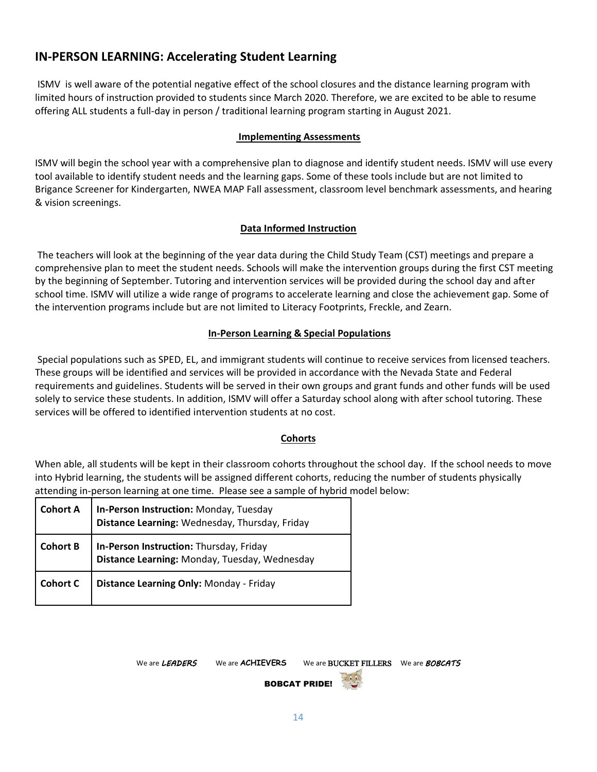# **IN-PERSON LEARNING: Accelerating Student Learning**

ISMV is well aware of the potential negative effect of the school closures and the distance learning program with limited hours of instruction provided to students since March 2020. Therefore, we are excited to be able to resume offering ALL students a full-day in person / traditional learning program starting in August 2021.

## **Implementing Assessments**

ISMV will begin the school year with a comprehensive plan to diagnose and identify student needs. ISMV will use every tool available to identify student needs and the learning gaps. Some of these tools include but are not limited to Brigance Screener for Kindergarten, NWEA MAP Fall assessment, classroom level benchmark assessments, and hearing & vision screenings.

#### **Data Informed Instruction**

The teachers will look at the beginning of the year data during the Child Study Team (CST) meetings and prepare a comprehensive plan to meet the student needs. Schools will make the intervention groups during the first CST meeting by the beginning of September. Tutoring and intervention services will be provided during the school day and after school time. ISMV will utilize a wide range of programs to accelerate learning and close the achievement gap. Some of the intervention programs include but are not limited to Literacy Footprints, Freckle, and Zearn.

#### **In-Person Learning & Special Populations**

Special populations such as SPED, EL, and immigrant students will continue to receive services from licensed teachers. These groups will be identified and services will be provided in accordance with the Nevada State and Federal requirements and guidelines. Students will be served in their own groups and grant funds and other funds will be used solely to service these students. In addition, ISMV will offer a Saturday school along with after school tutoring. These services will be offered to identified intervention students at no cost.

#### **Cohorts**

When able, all students will be kept in their classroom cohorts throughout the school day. If the school needs to move into Hybrid learning, the students will be assigned different cohorts, reducing the number of students physically attending in-person learning at one time. Please see a sample of hybrid model below:

| <b>Cohort A</b> | In-Person Instruction: Monday, Tuesday<br>Distance Learning: Wednesday, Thursday, Friday |
|-----------------|------------------------------------------------------------------------------------------|
| <b>Cohort B</b> | In-Person Instruction: Thursday, Friday<br>Distance Learning: Monday, Tuesday, Wednesday |
| <b>Cohort C</b> | Distance Learning Only: Monday - Friday                                                  |

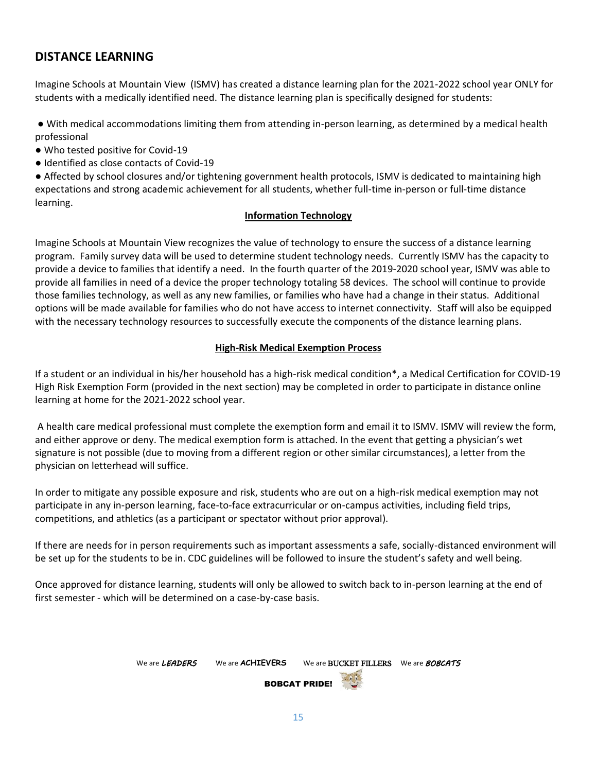# **DISTANCE LEARNING**

Imagine Schools at Mountain View (ISMV) has created a distance learning plan for the 2021-2022 school year ONLY for students with a medically identified need. The distance learning plan is specifically designed for students:

● With medical accommodations limiting them from attending in-person learning, as determined by a medical health professional

- Who tested positive for Covid-19
- Identified as close contacts of Covid-19

● Affected by school closures and/or tightening government health protocols, ISMV is dedicated to maintaining high expectations and strong academic achievement for all students, whether full-time in-person or full-time distance learning.

#### **Information Technology**

Imagine Schools at Mountain View recognizes the value of technology to ensure the success of a distance learning program. Family survey data will be used to determine student technology needs. Currently ISMV has the capacity to provide a device to families that identify a need. In the fourth quarter of the 2019-2020 school year, ISMV was able to provide all families in need of a device the proper technology totaling 58 devices. The school will continue to provide those families technology, as well as any new families, or families who have had a change in their status. Additional options will be made available for families who do not have access to internet connectivity. Staff will also be equipped with the necessary technology resources to successfully execute the components of the distance learning plans.

#### **High-Risk Medical Exemption Process**

If a student or an individual in his/her household has a high-risk medical condition\*, a Medical Certification for COVID-19 High Risk Exemption Form (provided in the next section) may be completed in order to participate in distance online learning at home for the 2021-2022 school year.

A health care medical professional must complete the exemption form and email it to ISMV. ISMV will review the form, and either approve or deny. The medical exemption form is attached. In the event that getting a physician's wet signature is not possible (due to moving from a different region or other similar circumstances), a letter from the physician on letterhead will suffice.

In order to mitigate any possible exposure and risk, students who are out on a high-risk medical exemption may not participate in any in-person learning, face-to-face extracurricular or on-campus activities, including field trips, competitions, and athletics (as a participant or spectator without prior approval).

If there are needs for in person requirements such as important assessments a safe, socially-distanced environment will be set up for the students to be in. CDC guidelines will be followed to insure the student's safety and well being.

Once approved for distance learning, students will only be allowed to switch back to in-person learning at the end of first semester - which will be determined on a case-by-case basis.

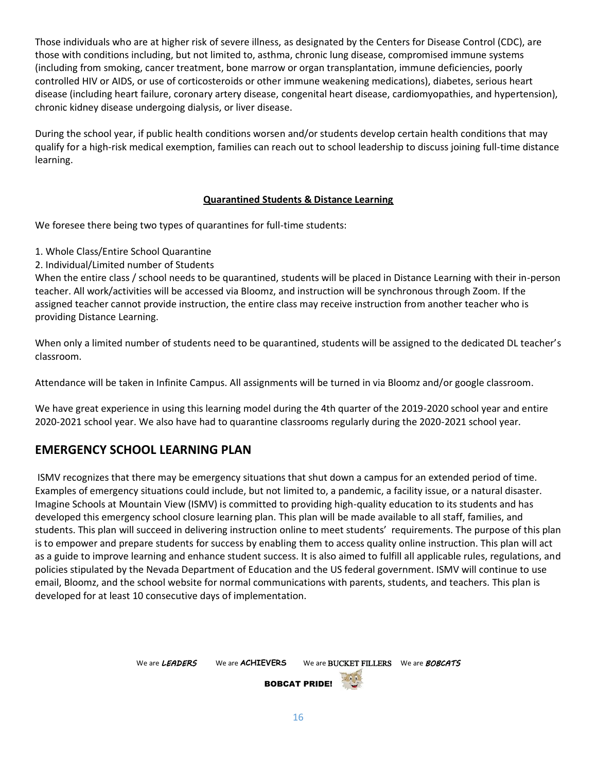Those individuals who are at higher risk of severe illness, as designated by the Centers for Disease Control (CDC), are those with conditions including, but not limited to, asthma, chronic lung disease, compromised immune systems (including from smoking, cancer treatment, bone marrow or organ transplantation, immune deficiencies, poorly controlled HIV or AIDS, or use of corticosteroids or other immune weakening medications), diabetes, serious heart disease (including heart failure, coronary artery disease, congenital heart disease, cardiomyopathies, and hypertension), chronic kidney disease undergoing dialysis, or liver disease.

During the school year, if public health conditions worsen and/or students develop certain health conditions that may qualify for a high-risk medical exemption, families can reach out to school leadership to discuss joining full-time distance learning.

## **Quarantined Students & Distance Learning**

We foresee there being two types of quarantines for full-time students:

- 1. Whole Class/Entire School Quarantine
- 2. Individual/Limited number of Students

When the entire class / school needs to be quarantined, students will be placed in Distance Learning with their in-person teacher. All work/activities will be accessed via Bloomz, and instruction will be synchronous through Zoom. If the assigned teacher cannot provide instruction, the entire class may receive instruction from another teacher who is providing Distance Learning.

When only a limited number of students need to be quarantined, students will be assigned to the dedicated DL teacher's classroom.

Attendance will be taken in Infinite Campus. All assignments will be turned in via Bloomz and/or google classroom.

We have great experience in using this learning model during the 4th quarter of the 2019-2020 school year and entire 2020-2021 school year. We also have had to quarantine classrooms regularly during the 2020-2021 school year.

# **EMERGENCY SCHOOL LEARNING PLAN**

ISMV recognizes that there may be emergency situations that shut down a campus for an extended period of time. Examples of emergency situations could include, but not limited to, a pandemic, a facility issue, or a natural disaster. Imagine Schools at Mountain View (ISMV) is committed to providing high-quality education to its students and has developed this emergency school closure learning plan. This plan will be made available to all staff, families, and students. This plan will succeed in delivering instruction online to meet students' requirements. The purpose of this plan is to empower and prepare students for success by enabling them to access quality online instruction. This plan will act as a guide to improve learning and enhance student success. It is also aimed to fulfill all applicable rules, regulations, and policies stipulated by the Nevada Department of Education and the US federal government. ISMV will continue to use email, Bloomz, and the school website for normal communications with parents, students, and teachers. This plan is developed for at least 10 consecutive days of implementation.

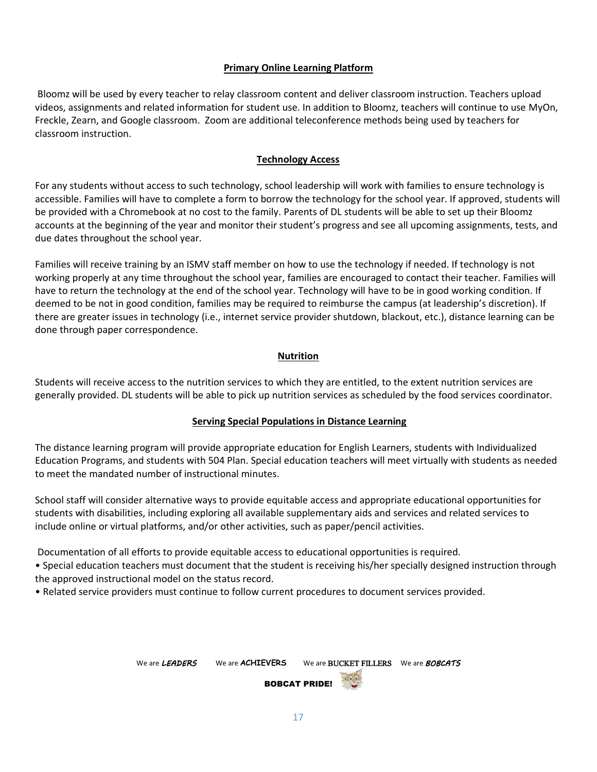#### **Primary Online Learning Platform**

Bloomz will be used by every teacher to relay classroom content and deliver classroom instruction. Teachers upload videos, assignments and related information for student use. In addition to Bloomz, teachers will continue to use MyOn, Freckle, Zearn, and Google classroom. Zoom are additional teleconference methods being used by teachers for classroom instruction.

#### **Technology Access**

For any students without access to such technology, school leadership will work with families to ensure technology is accessible. Families will have to complete a form to borrow the technology for the school year. If approved, students will be provided with a Chromebook at no cost to the family. Parents of DL students will be able to set up their Bloomz accounts at the beginning of the year and monitor their student's progress and see all upcoming assignments, tests, and due dates throughout the school year.

Families will receive training by an ISMV staff member on how to use the technology if needed. If technology is not working properly at any time throughout the school year, families are encouraged to contact their teacher. Families will have to return the technology at the end of the school year. Technology will have to be in good working condition. If deemed to be not in good condition, families may be required to reimburse the campus (at leadership's discretion). If there are greater issues in technology (i.e., internet service provider shutdown, blackout, etc.), distance learning can be done through paper correspondence.

#### **Nutrition**

Students will receive access to the nutrition services to which they are entitled, to the extent nutrition services are generally provided. DL students will be able to pick up nutrition services as scheduled by the food services coordinator.

#### **Serving Special Populations in Distance Learning**

The distance learning program will provide appropriate education for English Learners, students with Individualized Education Programs, and students with 504 Plan. Special education teachers will meet virtually with students as needed to meet the mandated number of instructional minutes.

School staff will consider alternative ways to provide equitable access and appropriate educational opportunities for students with disabilities, including exploring all available supplementary aids and services and related services to include online or virtual platforms, and/or other activities, such as paper/pencil activities.

Documentation of all efforts to provide equitable access to educational opportunities is required.

• Special education teachers must document that the student is receiving his/her specially designed instruction through the approved instructional model on the status record.

• Related service providers must continue to follow current procedures to document services provided.